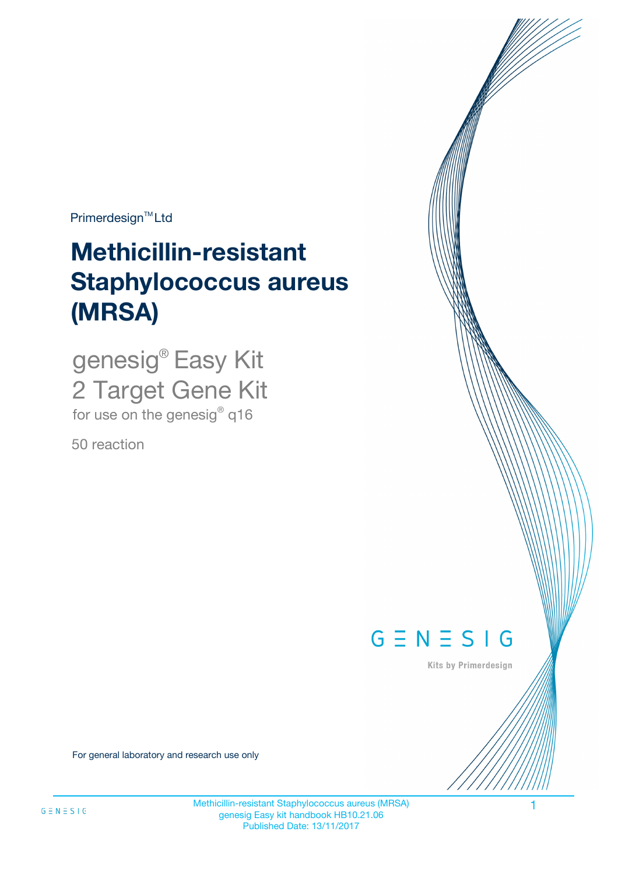$Primerdesign^{\text{TM}}Ltd$ 

# **Methicillin-resistant Staphylococcus aureus (MRSA)**

genesig® Easy Kit 2 Target Gene Kit for use on the genesig® q16

50 reaction



Kits by Primerdesign

For general laboratory and research use only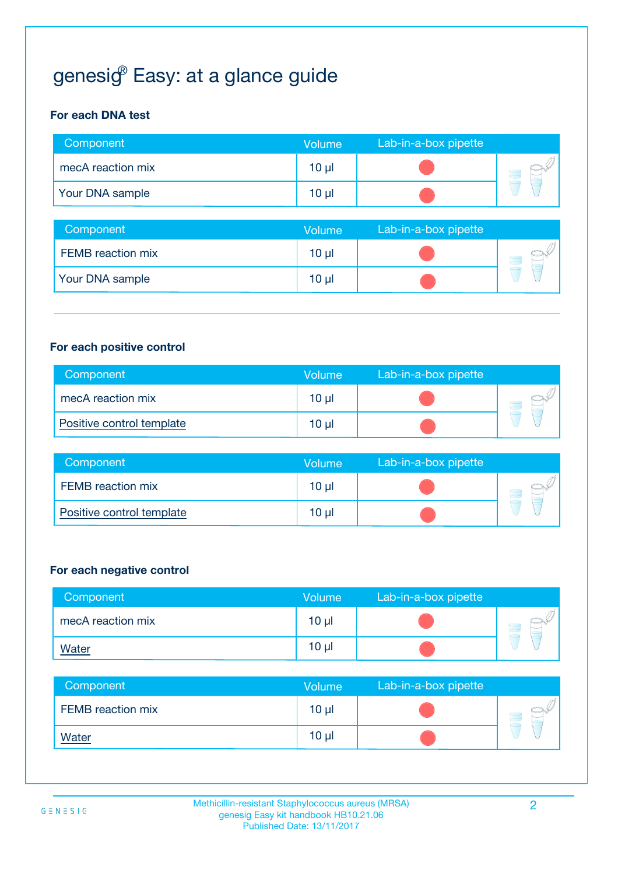## genesi $\mathcal{G}^{\!\scriptscriptstyle\mathrm{P}}$  Easy: at a glance guide

#### **For each DNA test**

| Component         | <b>Volume</b>   | Lab-in-a-box pipette |  |
|-------------------|-----------------|----------------------|--|
| mecA reaction mix | 10 <sub>µ</sub> |                      |  |
| Your DNA sample   | $10 \mu$        |                      |  |

| Component                | <b>Volume</b>   | Lab-in-a-box pipette |  |
|--------------------------|-----------------|----------------------|--|
| <b>FEMB</b> reaction mix | 10 <sub>µ</sub> |                      |  |
| Your DNA sample          | 10 <sub>µ</sub> |                      |  |

#### **For each positive control**

| Component                 | Volume   | Lab-in-a-box pipette |  |
|---------------------------|----------|----------------------|--|
| mecA reaction mix         | 10 µl    |                      |  |
| Positive control template | $10 \mu$ |                      |  |

| Component                 | <b>Volume</b> | Lab-in-a-box pipette |  |
|---------------------------|---------------|----------------------|--|
| FEMB reaction mix         | 10 µl         |                      |  |
| Positive control template | 10 µl         |                      |  |

#### **For each negative control**

| Component         | <b>Volume</b>   | Lab-in-a-box pipette |  |
|-------------------|-----------------|----------------------|--|
| mecA reaction mix | $10 \mu$        |                      |  |
| <b>Water</b>      | 10 <sub>µ</sub> |                      |  |

| Component         | <b>Volume</b>   | Lab-in-a-box pipette |  |
|-------------------|-----------------|----------------------|--|
| FEMB reaction mix | 10 <sub>µ</sub> |                      |  |
| <b>Water</b>      | 10 <sub>µ</sub> |                      |  |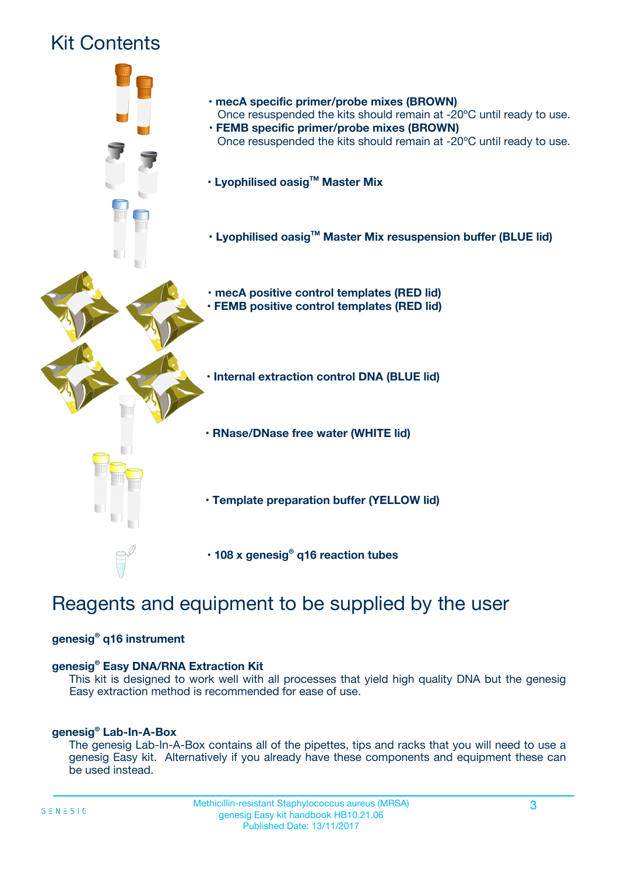## Kit Contents



## Reagents and equipment to be supplied by the user

#### **genesig® q16 instrument**

#### **genesig® Easy DNA/RNA Extraction Kit**

This kit is designed to work well with all processes that yield high quality DNA but the genesig Easy extraction method is recommended for ease of use.

#### **genesig® Lab-In-A-Box**

The genesig Lab-In-A-Box contains all of the pipettes, tips and racks that you will need to use a genesig Easy kit. Alternatively if you already have these components and equipment these can be used instead.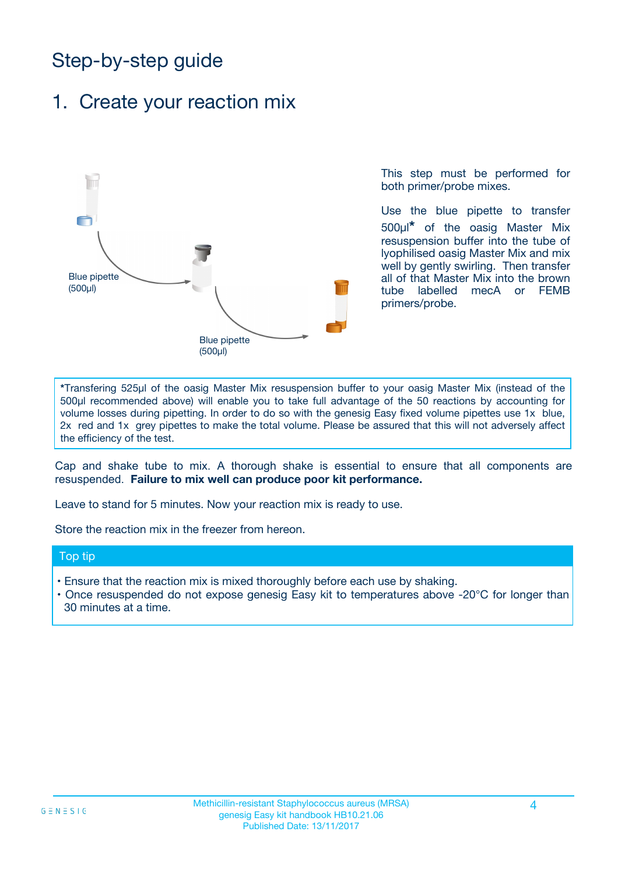## Step-by-step guide

## 1. Create your reaction mix



This step must be performed for both primer/probe mixes.

Use the blue pipette to transfer 500µl**\*** of the oasig Master Mix resuspension buffer into the tube of lyophilised oasig Master Mix and mix well by gently swirling. Then transfer all of that Master Mix into the brown tube labelled mecA or FEMB primers/probe.

**\***Transfering 525µl of the oasig Master Mix resuspension buffer to your oasig Master Mix (instead of the 500µl recommended above) will enable you to take full advantage of the 50 reactions by accounting for volume losses during pipetting. In order to do so with the genesig Easy fixed volume pipettes use 1x blue, 2x red and 1x grey pipettes to make the total volume. Please be assured that this will not adversely affect the efficiency of the test.

Cap and shake tube to mix. A thorough shake is essential to ensure that all components are resuspended. **Failure to mix well can produce poor kit performance.**

Leave to stand for 5 minutes. Now your reaction mix is ready to use.

Store the reaction mix in the freezer from hereon.

#### Top tip

- Ensure that the reaction mix is mixed thoroughly before each use by shaking.
- **•** Once resuspended do not expose genesig Easy kit to temperatures above -20°C for longer than 30 minutes at a time.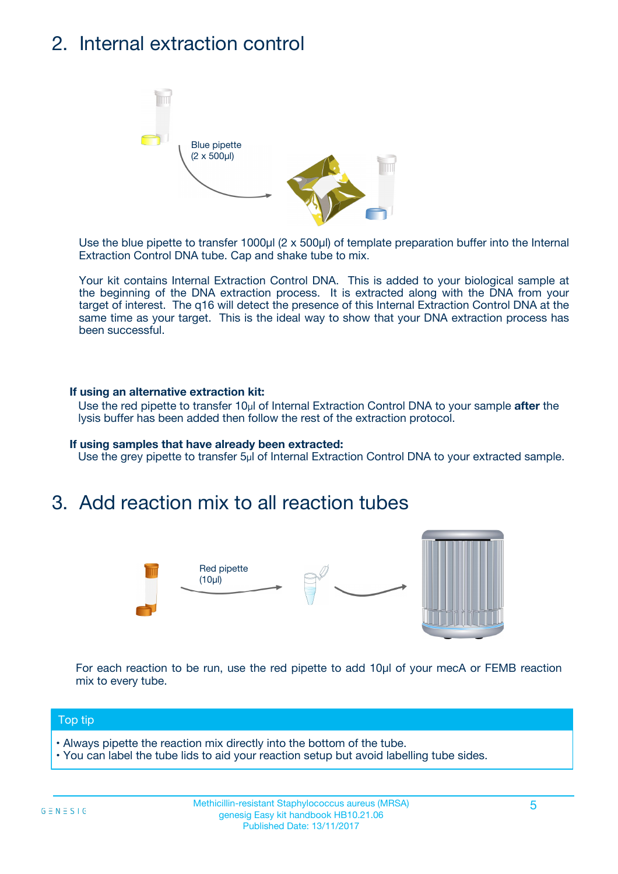## 2. Internal extraction control



Use the blue pipette to transfer 1000µl (2 x 500µl) of template preparation buffer into the Internal Extraction Control DNA tube. Cap and shake tube to mix.

Your kit contains Internal Extraction Control DNA. This is added to your biological sample at the beginning of the DNA extraction process. It is extracted along with the DNA from your target of interest. The q16 will detect the presence of this Internal Extraction Control DNA at the same time as your target. This is the ideal way to show that your DNA extraction process has been successful.

#### **If using an alternative extraction kit:**

Use the red pipette to transfer 10µl of Internal Extraction Control DNA to your sample **after** the lysis buffer has been added then follow the rest of the extraction protocol.

#### **If using samples that have already been extracted:**

Use the grey pipette to transfer 5µl of Internal Extraction Control DNA to your extracted sample.

### 3. Add reaction mix to all reaction tubes



For each reaction to be run, use the red pipette to add 10µl of your mecA or FEMB reaction mix to every tube.

#### Top tip

- Always pipette the reaction mix directly into the bottom of the tube.
- You can label the tube lids to aid your reaction setup but avoid labelling tube sides.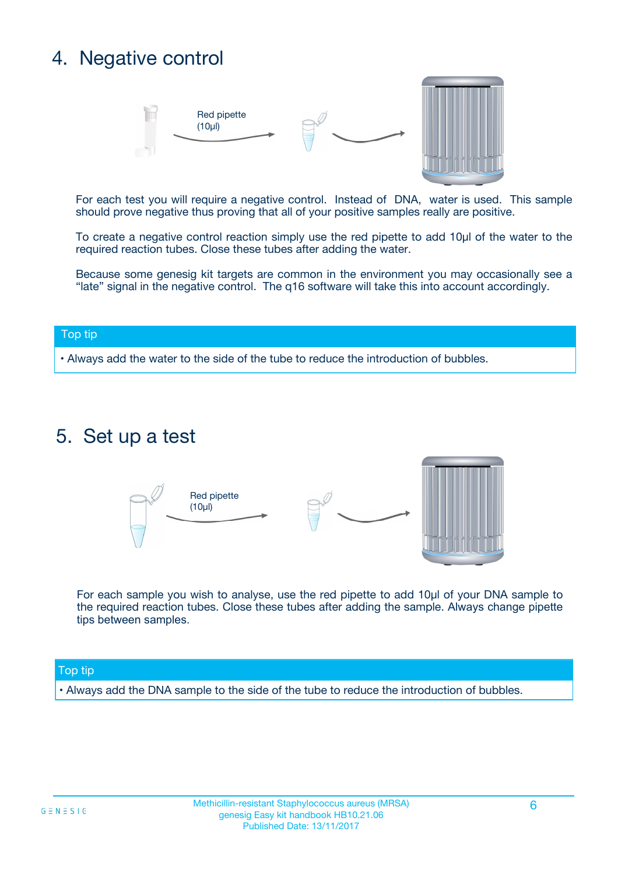## 4. Negative control



For each test you will require a negative control. Instead of DNA, water is used. This sample should prove negative thus proving that all of your positive samples really are positive.

To create a negative control reaction simply use the red pipette to add 10µl of the water to the required reaction tubes. Close these tubes after adding the water.

Because some genesig kit targets are common in the environment you may occasionally see a "late" signal in the negative control. The q16 software will take this into account accordingly.

#### Top tip

**•** Always add the water to the side of the tube to reduce the introduction of bubbles.

### 5. Set up a test



For each sample you wish to analyse, use the red pipette to add 10µl of your DNA sample to the required reaction tubes. Close these tubes after adding the sample. Always change pipette tips between samples.

#### Top tip

**•** Always add the DNA sample to the side of the tube to reduce the introduction of bubbles.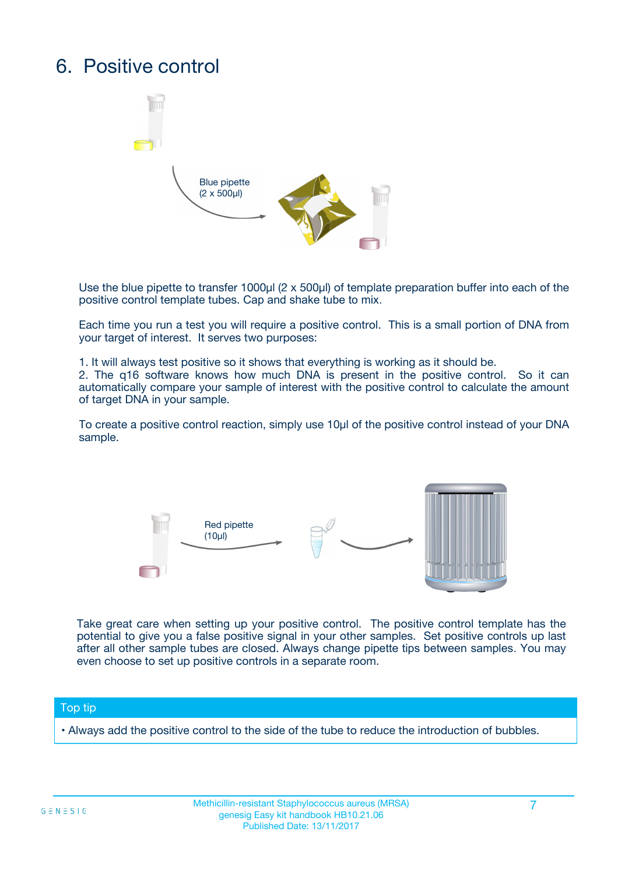## 6. Positive control



Use the blue pipette to transfer 1000µl (2 x 500µl) of template preparation buffer into each of the positive control template tubes. Cap and shake tube to mix.

Each time you run a test you will require a positive control. This is a small portion of DNA from your target of interest. It serves two purposes:

1. It will always test positive so it shows that everything is working as it should be.

2. The q16 software knows how much DNA is present in the positive control. So it can automatically compare your sample of interest with the positive control to calculate the amount of target DNA in your sample.

To create a positive control reaction, simply use 10µl of the positive control instead of your DNA sample.



Take great care when setting up your positive control. The positive control template has the potential to give you a false positive signal in your other samples. Set positive controls up last after all other sample tubes are closed. Always change pipette tips between samples. You may even choose to set up positive controls in a separate room.

#### Top tip

**•** Always add the positive control to the side of the tube to reduce the introduction of bubbles.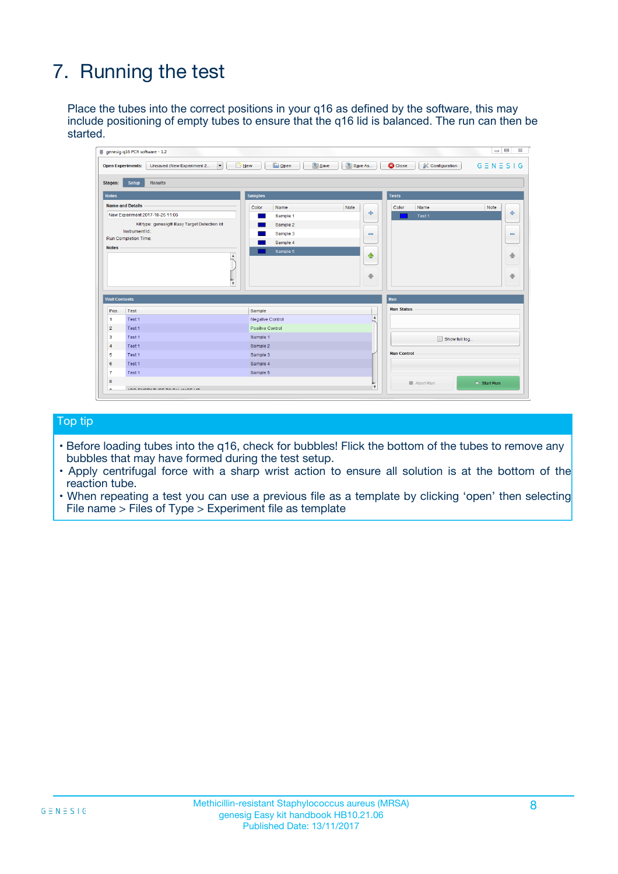## 7. Running the test

Place the tubes into the correct positions in your q16 as defined by the software, this may include positioning of empty tubes to ensure that the q16 lid is balanced. The run can then be started.

|                                                                                                                              | <b>Open Experiments:</b><br>Unsaved (New Experiment 2<br>$\overline{\phantom{a}}$ | Save<br><b>D</b> Open<br><b>B</b> New | Save As                      | <b>C</b> Close<br><b>&amp; Configuration</b> | $G \equiv N \equiv S \mid G$ |
|------------------------------------------------------------------------------------------------------------------------------|-----------------------------------------------------------------------------------|---------------------------------------|------------------------------|----------------------------------------------|------------------------------|
| Stages:                                                                                                                      | <b>Setup</b><br><b>Results</b>                                                    |                                       |                              |                                              |                              |
| <b>Notes</b>                                                                                                                 |                                                                                   | <b>Samples</b>                        |                              | <b>Tests</b>                                 |                              |
|                                                                                                                              | <b>Name and Details</b>                                                           | Color<br>Name                         | Note                         | Color<br>Name                                | Note                         |
|                                                                                                                              | New Experiment 2017-10-26 11:06                                                   | Sample 1                              | 4                            | Test 1                                       | 条                            |
|                                                                                                                              | Kit type: genesig® Easy Target Detection kit                                      | Sample 2                              |                              |                                              |                              |
|                                                                                                                              | Instrument Id.:                                                                   | Sample 3                              | $\qquad \qquad \blacksquare$ |                                              | $\qquad \qquad \blacksquare$ |
|                                                                                                                              | <b>Run Completion Time:</b>                                                       | Sample 4                              |                              |                                              |                              |
| <b>Notes</b>                                                                                                                 | $\blacktriangle$                                                                  | Sample 5                              | ♦                            |                                              |                              |
|                                                                                                                              |                                                                                   |                                       |                              |                                              | 借                            |
|                                                                                                                              |                                                                                   |                                       |                              |                                              |                              |
|                                                                                                                              |                                                                                   |                                       |                              |                                              |                              |
|                                                                                                                              |                                                                                   |                                       | ⊕                            |                                              |                              |
|                                                                                                                              | $\overline{\mathbf{v}}$                                                           |                                       |                              |                                              |                              |
|                                                                                                                              |                                                                                   |                                       |                              | Run                                          |                              |
|                                                                                                                              | Test                                                                              | Sample                                |                              | <b>Run Status</b>                            |                              |
|                                                                                                                              | Test <sub>1</sub>                                                                 | Negative Control                      | $\blacktriangle$             |                                              |                              |
|                                                                                                                              | Test 1                                                                            | <b>Positive Control</b>               |                              |                                              |                              |
|                                                                                                                              | Test 1                                                                            | Sample 1                              |                              |                                              |                              |
|                                                                                                                              | Test 1                                                                            | Sample 2                              |                              | Show full log                                |                              |
|                                                                                                                              | Test 1                                                                            | Sample 3                              |                              | <b>Run Control</b>                           |                              |
|                                                                                                                              | Test 1                                                                            | Sample 4                              |                              |                                              |                              |
| <b>Well Contents</b><br>Pos.<br>1<br>$\overline{2}$<br>$\overline{\mathbf{3}}$<br>$\overline{4}$<br>5<br>6<br>$\overline{7}$ | Test 1                                                                            | Sample 5                              |                              |                                              | ₩                            |

#### Top tip

- Before loading tubes into the q16, check for bubbles! Flick the bottom of the tubes to remove any bubbles that may have formed during the test setup.
- Apply centrifugal force with a sharp wrist action to ensure all solution is at the bottom of the reaction tube.
- When repeating a test you can use a previous file as a template by clicking 'open' then selecting File name > Files of Type > Experiment file as template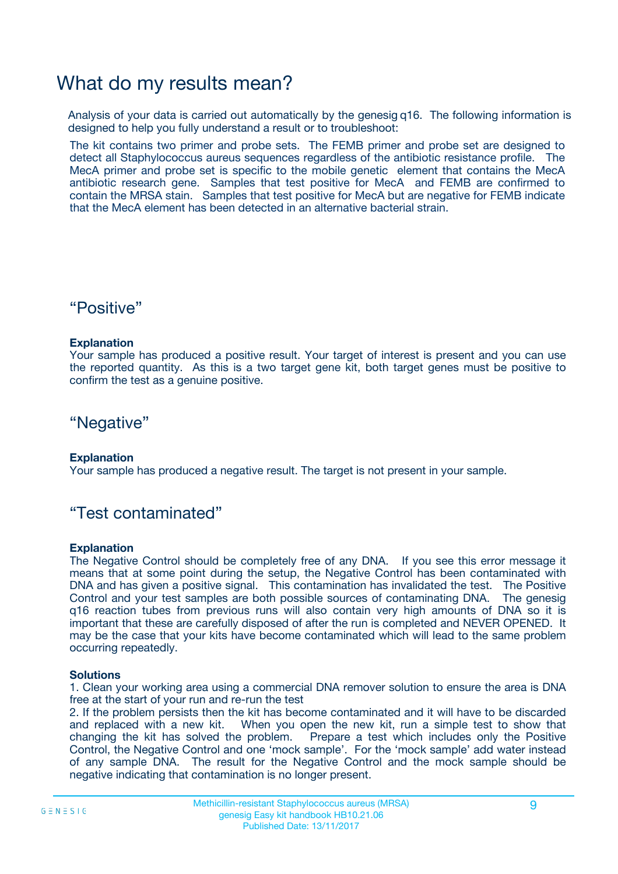### What do my results mean?

Analysis of your data is carried out automatically by the genesig q16. The following information is designed to help you fully understand a result or to troubleshoot:

The kit contains two primer and probe sets. The FEMB primer and probe set are designed to detect all Staphylococcus aureus sequences regardless of the antibiotic resistance profile. The MecA primer and probe set is specific to the mobile genetic element that contains the MecA antibiotic research gene. Samples that test positive for MecA and FEMB are confirmed to contain the MRSA stain. Samples that test positive for MecA but are negative for FEMB indicate that the MecA element has been detected in an alternative bacterial strain.

### "Positive"

#### **Explanation**

Your sample has produced a positive result. Your target of interest is present and you can use the reported quantity. As this is a two target gene kit, both target genes must be positive to confirm the test as a genuine positive.

"Negative"

#### **Explanation**

Your sample has produced a negative result. The target is not present in your sample.

### "Test contaminated"

#### **Explanation**

The Negative Control should be completely free of any DNA. If you see this error message it means that at some point during the setup, the Negative Control has been contaminated with DNA and has given a positive signal. This contamination has invalidated the test. The Positive Control and your test samples are both possible sources of contaminating DNA. The genesig q16 reaction tubes from previous runs will also contain very high amounts of DNA so it is important that these are carefully disposed of after the run is completed and NEVER OPENED. It may be the case that your kits have become contaminated which will lead to the same problem occurring repeatedly.

#### **Solutions**

1. Clean your working area using a commercial DNA remover solution to ensure the area is DNA free at the start of your run and re-run the test

2. If the problem persists then the kit has become contaminated and it will have to be discarded and replaced with a new kit. When you open the new kit, run a simple test to show that changing the kit has solved the problem. Prepare a test which includes only the Positive Control, the Negative Control and one 'mock sample'. For the 'mock sample' add water instead of any sample DNA. The result for the Negative Control and the mock sample should be negative indicating that contamination is no longer present.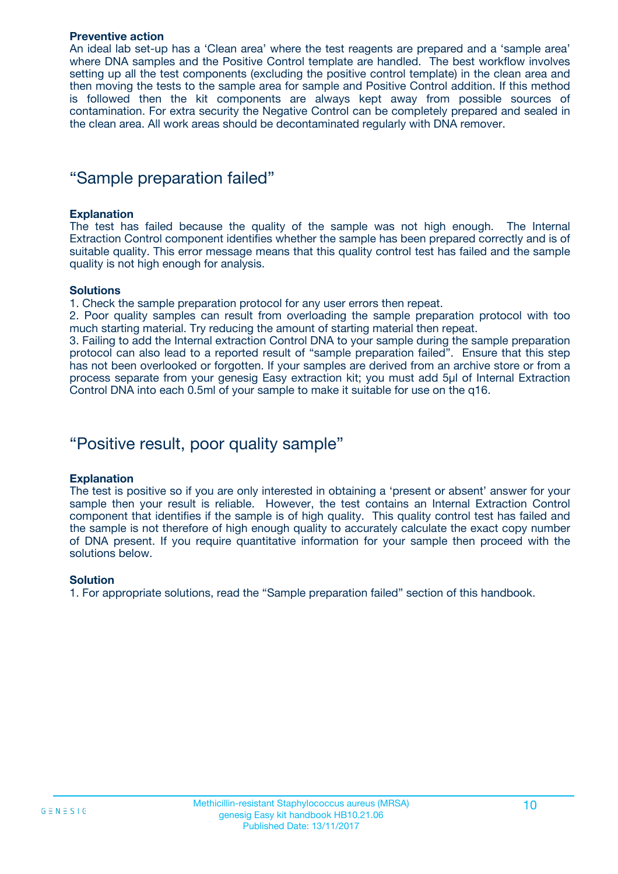#### **Preventive action**

An ideal lab set-up has a 'Clean area' where the test reagents are prepared and a 'sample area' where DNA samples and the Positive Control template are handled. The best workflow involves setting up all the test components (excluding the positive control template) in the clean area and then moving the tests to the sample area for sample and Positive Control addition. If this method is followed then the kit components are always kept away from possible sources of contamination. For extra security the Negative Control can be completely prepared and sealed in the clean area. All work areas should be decontaminated regularly with DNA remover.

### "Sample preparation failed"

#### **Explanation**

The test has failed because the quality of the sample was not high enough. The Internal Extraction Control component identifies whether the sample has been prepared correctly and is of suitable quality. This error message means that this quality control test has failed and the sample quality is not high enough for analysis.

#### **Solutions**

1. Check the sample preparation protocol for any user errors then repeat.

2. Poor quality samples can result from overloading the sample preparation protocol with too much starting material. Try reducing the amount of starting material then repeat.

3. Failing to add the Internal extraction Control DNA to your sample during the sample preparation protocol can also lead to a reported result of "sample preparation failed". Ensure that this step has not been overlooked or forgotten. If your samples are derived from an archive store or from a process separate from your genesig Easy extraction kit; you must add 5µl of Internal Extraction Control DNA into each 0.5ml of your sample to make it suitable for use on the q16.

### "Positive result, poor quality sample"

#### **Explanation**

The test is positive so if you are only interested in obtaining a 'present or absent' answer for your sample then your result is reliable. However, the test contains an Internal Extraction Control component that identifies if the sample is of high quality. This quality control test has failed and the sample is not therefore of high enough quality to accurately calculate the exact copy number of DNA present. If you require quantitative information for your sample then proceed with the solutions below.

#### **Solution**

1. For appropriate solutions, read the "Sample preparation failed" section of this handbook.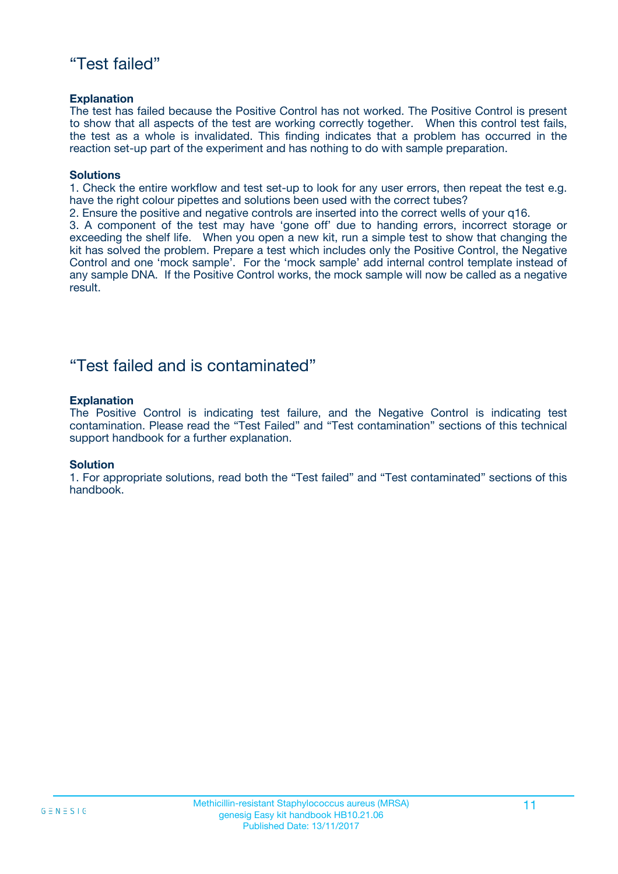### "Test failed"

#### **Explanation**

The test has failed because the Positive Control has not worked. The Positive Control is present to show that all aspects of the test are working correctly together. When this control test fails, the test as a whole is invalidated. This finding indicates that a problem has occurred in the reaction set-up part of the experiment and has nothing to do with sample preparation.

#### **Solutions**

1. Check the entire workflow and test set-up to look for any user errors, then repeat the test e.g. have the right colour pipettes and solutions been used with the correct tubes?

2. Ensure the positive and negative controls are inserted into the correct wells of your q16.

3. A component of the test may have 'gone off' due to handing errors, incorrect storage or exceeding the shelf life. When you open a new kit, run a simple test to show that changing the kit has solved the problem. Prepare a test which includes only the Positive Control, the Negative Control and one 'mock sample'. For the 'mock sample' add internal control template instead of any sample DNA. If the Positive Control works, the mock sample will now be called as a negative result.

### "Test failed and is contaminated"

#### **Explanation**

The Positive Control is indicating test failure, and the Negative Control is indicating test contamination. Please read the "Test Failed" and "Test contamination" sections of this technical support handbook for a further explanation.

#### **Solution**

1. For appropriate solutions, read both the "Test failed" and "Test contaminated" sections of this handbook.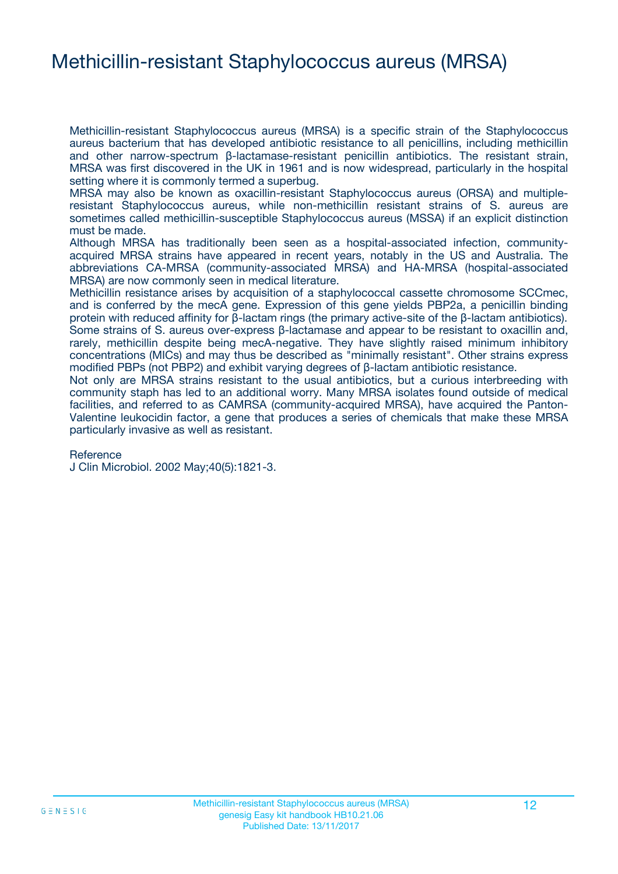### Methicillin-resistant Staphylococcus aureus (MRSA)

Methicillin-resistant Staphylococcus aureus (MRSA) is a specific strain of the Staphylococcus aureus bacterium that has developed antibiotic resistance to all penicillins, including methicillin and other narrow-spectrum β-lactamase-resistant penicillin antibiotics. The resistant strain, MRSA was first discovered in the UK in 1961 and is now widespread, particularly in the hospital setting where it is commonly termed a superbug.

MRSA may also be known as oxacillin-resistant Staphylococcus aureus (ORSA) and multipleresistant Staphylococcus aureus, while non-methicillin resistant strains of S. aureus are sometimes called methicillin-susceptible Staphylococcus aureus (MSSA) if an explicit distinction must be made.

Although MRSA has traditionally been seen as a hospital-associated infection, communityacquired MRSA strains have appeared in recent years, notably in the US and Australia. The abbreviations CA-MRSA (community-associated MRSA) and HA-MRSA (hospital-associated MRSA) are now commonly seen in medical literature.

Methicillin resistance arises by acquisition of a staphylococcal cassette chromosome SCCmec, and is conferred by the mecA gene. Expression of this gene yields PBP2a, a penicillin binding protein with reduced affinity for β-lactam rings (the primary active-site of the β-lactam antibiotics). Some strains of S. aureus over-express β-lactamase and appear to be resistant to oxacillin and, rarely, methicillin despite being mecA-negative. They have slightly raised minimum inhibitory concentrations (MICs) and may thus be described as "minimally resistant". Other strains express modified PBPs (not PBP2) and exhibit varying degrees of β-lactam antibiotic resistance.

Not only are MRSA strains resistant to the usual antibiotics, but a curious interbreeding with community staph has led to an additional worry. Many MRSA isolates found outside of medical facilities, and referred to as CAMRSA (community-acquired MRSA), have acquired the Panton-Valentine leukocidin factor, a gene that produces a series of chemicals that make these MRSA particularly invasive as well as resistant.

#### Reference

J Clin Microbiol. 2002 May;40(5):1821-3.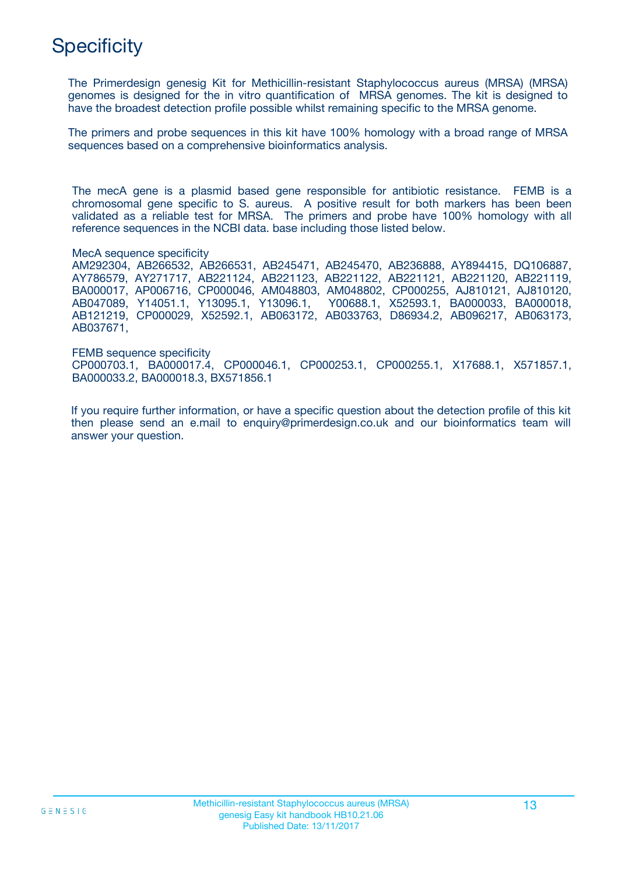## **Specificity**

The Primerdesign genesig Kit for Methicillin-resistant Staphylococcus aureus (MRSA) (MRSA) genomes is designed for the in vitro quantification of MRSA genomes. The kit is designed to have the broadest detection profile possible whilst remaining specific to the MRSA genome.

The primers and probe sequences in this kit have 100% homology with a broad range of MRSA sequences based on a comprehensive bioinformatics analysis.

The mecA gene is a plasmid based gene responsible for antibiotic resistance. FEMB is a chromosomal gene specific to S. aureus. A positive result for both markers has been been validated as a reliable test for MRSA. The primers and probe have 100% homology with all reference sequences in the NCBI data. base including those listed below.

MecA sequence specificity

AM292304, AB266532, AB266531, AB245471, AB245470, AB236888, AY894415, DQ106887, AY786579, AY271717, AB221124, AB221123, AB221122, AB221121, AB221120, AB221119, BA000017, AP006716, CP000046, AM048803, AM048802, CP000255, AJ810121, AJ810120, AB047089, Y14051.1, Y13095.1, Y13096.1, Y00688.1, X52593.1, BA000033, BA000018, AB121219, CP000029, X52592.1, AB063172, AB033763, D86934.2, AB096217, AB063173, AB037671,

FEMB sequence specificity CP000703.1, BA000017.4, CP000046.1, CP000253.1, CP000255.1, X17688.1, X571857.1, BA000033.2, BA000018.3, BX571856.1

If you require further information, or have a specific question about the detection profile of this kit then please send an e.mail to enquiry@primerdesign.co.uk and our bioinformatics team will answer your question.